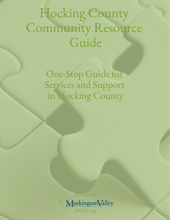# Hocking County Community Resource Guide

One-Stop Guide for Services and Support in Hocking County

> Provided by MuskingumValley MVESC.org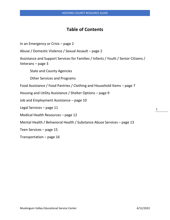# **Table of Contents**

In an Emergency or Crisis – page 2

Abuse / Domestic Violence / Sexual Assault – page 2

Assistance and Support Services for Families / Infants / Youth / Senior Citizens / Veterans – page 3

State and County Agencies

Other Services and Programs

Food Assistance / Food Pantries / Clothing and Household Items – page 7

Housing and Utility Assistance / Shelter Options – page 9

Job and Employment Assistance – page 10

Legal Services – page 11

Medical Health Resources – page 12

Mental Health / Behavioral Health / Substance Abuse Services – page 13

Teen Services – page 15

Transportation – page 16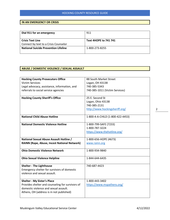#### **IN AN EMERGENCY OR CRISIS**

| Dial 911 for an emergency                   | 911                   |
|---------------------------------------------|-----------------------|
|                                             |                       |
| <b>Crisis Text Line</b>                     | Text 4HOPE to 741 741 |
| Connect by text to a Crisis Counselor       |                       |
| <b>National Suicide Prevention Lifeline</b> | 1-800-273-8255        |
|                                             |                       |

#### **ABUSE / DOMESTIC VIOLENCE / SEXUAL ASSAULT**

| <b>Hocking County Prosecutors Office</b>         | 88 South Market Street           |
|--------------------------------------------------|----------------------------------|
| <b>Victim Services</b>                           | Logan, OH 43138                  |
| Legal advocacy, assistance, information, and     | 740-385-5343                     |
| referrals to social service agencies             | 740-385-1011 (Victim Services)   |
|                                                  |                                  |
| <b>Hocking County Sheriff's Office</b>           | 25 E. Second St                  |
|                                                  | Logan, Ohio 43138                |
|                                                  | 740-385-2131                     |
|                                                  | http://www.hockingsheriff.org/   |
|                                                  |                                  |
| <b>National Child Abuse Hotline</b>              | 1-800-4-A-CHILD (1-800-422-4453) |
|                                                  |                                  |
| <b>National Domestic Violence Hotline</b>        | 1-800-799-SAFE (7233)            |
|                                                  | 1-800-787-3224                   |
|                                                  | https://www.thehotline.org/      |
|                                                  |                                  |
| National Sexual Abuse Assault Hotline /          | 1-800-656-HOPE (4673)            |
| RAINN (Rape, Abuse, Incest National Network)     | www.rainn.org                    |
|                                                  |                                  |
| <b>Ohio Domestic Violence Network</b>            | 1-800-934-9840                   |
|                                                  |                                  |
| <b>Ohio Sexual Violence Helpline</b>             | 1-844-644-6435                   |
|                                                  |                                  |
| <b>Shelter - The Lighthouse</b>                  | 740-687-4423                     |
| Emergency shelter for survivors of domestic      |                                  |
| violence and sexual assault.                     |                                  |
|                                                  |                                  |
| <b>Shelter - My Sister's Place</b>               | 1-800-443-3402                   |
| Provides shelter and counseling for survivors of | https://www.mspathens.org/       |
| domestic violence and sexual assault.            |                                  |
| Athens, OH (address is in not published)         |                                  |
|                                                  |                                  |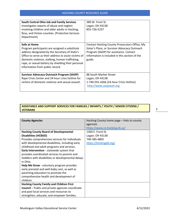| <b>South Central Ohio Job and Family Services</b><br>Investigates reports of abuse and neglect<br>involving children and older adults in Hocking,<br>Ross, and Vinton counties. (Protective Services<br>Department)                                                                                                    | 389 W. Front St.<br>Logan, OH 43138<br>855-726-5237                                                                                                                                                  |
|------------------------------------------------------------------------------------------------------------------------------------------------------------------------------------------------------------------------------------------------------------------------------------------------------------------------|------------------------------------------------------------------------------------------------------------------------------------------------------------------------------------------------------|
| Safe at Home<br>Program participants are assigned a substitute<br>address designated by the Secretary of State's<br>Office to serve as their address to assist victims of<br>domestic violence, stalking, human trafficking,<br>rape, or sexual battery by shielding their personal<br>information from public record. | Contact Hocking County Prosecutors Office, My<br>Sister's Place, or Survivor Advocacy Outreach<br>Program (SAOP) for assistance. Contact<br>information is included in this section of the<br>guide. |
| <b>Survivor Advocacy Outreach Program (SAOP)</b><br>Rape Crisis Center and 24-hour crisis hotline for<br>victims of domestic violence and sexual assault.                                                                                                                                                              | 88 South Market Street<br>Logan, OH 43138<br>1-740-591-4266 (24-hour Crisis Hotline)<br>http://www.saopseoh.org                                                                                      |

# **ASSISTANCE AND SUPPORT SERVICES FOR FAMILIES / INFANTS / YOUTH / SENIOR CITIZENS / VETERANS**

| <b>County Agencies</b>                                  | Hocking County home page - links to county |
|---------------------------------------------------------|--------------------------------------------|
|                                                         | agencies                                   |
|                                                         | https://www.co.hocking.oh.us/              |
| <b>Hocking County Board of Developmental</b>            | 1369 E. Front St.                          |
| <b>Disabilities (HCBDD)</b>                             | Logan, OH 43138                            |
| Provides comprehensive services for individuals         | 740-385-6805                               |
| with developmental disabilities, including early        | https://hockingdd.org/                     |
| childhood and adult programs and services.              |                                            |
| Early Intervention - statewide system that              |                                            |
| provides coordinated services to parents and            |                                            |
| toddlers with disabilities or developmental delays      |                                            |
| in Ohio                                                 |                                            |
| Help Me Grow - voluntary program provides               |                                            |
| early prenatal and well-baby care, as well as           |                                            |
| parenting education to promote the                      |                                            |
| comprehensive health and development of                 |                                            |
| children.                                               |                                            |
| <b>Hocking County Family and Children First</b>         |                                            |
| <b>Council</b> – Public and private agencies coordinate |                                            |
| and pool local services and resources to                |                                            |
| strengthen, educate, and empower families.              |                                            |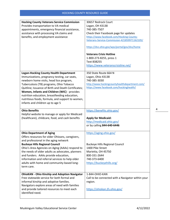| <b>Hocking County Veterans Service Commission</b><br>Provides transportation to VA medical<br>appointments, emergency financial assistance,<br>assistance with processing VA claims and<br>benefits, and employment assistance                                                                                                                                                                                                       | 30657 Redrock Court<br>Logan, OH 43138<br>740-385-7507<br>Check their Facebook page for updates<br>https://www.facebook.com/Hocking-County-<br>Veterans-Service-Commission-421859971162105/<br>https://dvs.ohio.gov/wps/portal/gov/dvs/home<br><b>Veterans Crisis Hotline</b><br>1-800-273-8255, press 1<br>Text 838255<br>https://www.veteranscrisisline.net/ |
|--------------------------------------------------------------------------------------------------------------------------------------------------------------------------------------------------------------------------------------------------------------------------------------------------------------------------------------------------------------------------------------------------------------------------------------|----------------------------------------------------------------------------------------------------------------------------------------------------------------------------------------------------------------------------------------------------------------------------------------------------------------------------------------------------------------|
| <b>Logan-Hocking County Health Department</b><br>Immunizations, pregnancy testing, car seats,<br>newborn home visits, head lice program,<br>Tuberculosis (TB) programs, Ohio Tobacco<br>Quitline; Issuance of Birth and Death Certificates;<br>Women, Infants and Children (WIC) - provides<br>nutrition education, breastfeeding education,<br>nutritious foods, formula, and support to women,<br>infants and children up to age 5 | 350 State Route 664 N<br>Logan, Ohio 43138<br>740-385-3030<br>http://www.hockingcountyhealthdepartment.com/<br>https://www.facebook.com/hockinghealth/                                                                                                                                                                                                         |
| <b>Ohio Benefits</b><br>Helpful website to manage or apply for Medicaid<br>(healthcare), childcare, food, and cash benefits                                                                                                                                                                                                                                                                                                          | https://benefits.ohio.gov/<br><b>Apply for Medicaid:</b><br>http://medicaid.ohio.gov/<br>or by calling 844-640-6446                                                                                                                                                                                                                                            |
| <b>Ohio Department of Aging</b><br>Offers resources for older Ohioans, caregivers,<br>and professional in the aging network<br><b>Buckeye Hills Regional Council</b><br>Ohio's Area Agencies on Aging (AAAs) respond to<br>the needs of older adults as advocates, planners<br>and funders. AAAs provide education,<br>information and referral services to help older<br>adults with home and community-based long-<br>term care.   | https://aging.ohio.gov/<br><b>Buckeye Hills Regional Council</b><br>1400 Pike Street<br>Marietta, OH 45750<br>800-331-2644<br>740-373-6400<br>https://buckeyehills.org/                                                                                                                                                                                        |
| <b>OhioKAN - Ohio Kinship and Adoption Navigator</b><br>Free statewide service for both formal and<br>informal kinship and adoptive families.<br>Navigators explore areas of need with families<br>and provide tailored resources to meet each<br>identified need.                                                                                                                                                                   | 1-844-OHIO-KAN<br>Call to be connected with a Navigator within your<br>region.<br>https://ohiokan.jfs.ohio.gov/                                                                                                                                                                                                                                                |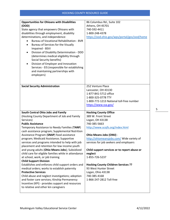| <b>Opportunities for Ohioans with Disabilities</b>   | 86 Columbus Rd., Suite 102                   |
|------------------------------------------------------|----------------------------------------------|
| (OOD)                                                | Athens, OH 45701                             |
| State agency that empowers Ohioans with              | 740-592-4411                                 |
| disabilities through employment, disability          | 1-800-248-4378                               |
| determinations, and independence:                    | https://ood.ohio.gov/wps/portal/gov/ood/home |
| <b>Bureau of Vocational Rehabilitation - BVR</b>     |                                              |
| Bureau of Services for the Visually<br>$\bullet$     |                                              |
| Impaired - BSVI                                      |                                              |
| Division of Disability Determination - DDD<br>٠      |                                              |
| (determines medical eligibility through              |                                              |
| Social Security benefits)                            |                                              |
| Division of Employer and Innovation                  |                                              |
| Services - EIS (responsible for establishing         |                                              |
| and maintaining partnerships with                    |                                              |
| employers)                                           |                                              |
|                                                      |                                              |
|                                                      |                                              |
| <b>Social Security Administration</b>                | 252 Venture Place                            |
|                                                      | Lancaster, OH 43130                          |
|                                                      | 1-877-841-5712 office                        |
|                                                      | 1-800-325-0778 TTY                           |
|                                                      | 1-800-772-1213 National toll-free number     |
|                                                      | https://www.ssa.gov/                         |
|                                                      |                                              |
| South Central Ohio Jobs and Family                   | <b>Hocking County Office</b>                 |
| (Hocking County Department of Job and Family         | 389 W. Front Street                          |
| Services)                                            | Logan, OH 43138                              |
| <b>Public Assistance</b>                             | 740-385-5663                                 |
| Temporary Assistance to Needy Families (TANF)        | http://www.scojfs.org/index.html             |
|                                                      |                                              |
| cash assistance program; Supplemental Nutrition      |                                              |
| Assistance Program (SNAP) food assistance            | Ohio Means Jobs (OMJ) -                      |
| program; Medicaid Assistance; Supportive             | http://ohiomeansjobs.com/ Wide variety of    |
| services and programs intended to help with job      | services for job seekers and employers       |
| placement and retention for low income youth         |                                              |
| and young adults (Ohio Means Jobs); Subsidized       | Child support services or to report abuse or |
| child care for eligible families while in attendance | neglect                                      |
| at school, work, or job training                     | 1-855-726-5237                               |
| <b>Child Support Division</b>                        |                                              |
| Establishes and enforces child support orders and    | <b>Hocking County Children Services ??</b>   |
| medical orders; works to establish paternity         | 93 West Hunter Street                        |
| <b>Protective Services</b>                           | Logan, Ohio 43138                            |
| Child abuse and neglect investigations; adoption     | 740-385-4168                                 |
| and foster care services; Kinship Permanency         | 1-866-247-2812 Toll-free                     |
| Incentive (KPI) - provides support and resources     |                                              |
| to relative and other kin caregivers                 |                                              |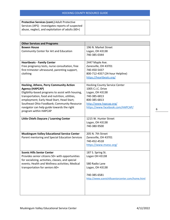| Protective Services (cont.) Adult Protective       |
|----------------------------------------------------|
| Services (APS) - investigates reports of suspected |
| abuse, neglect, and exploitation of adults (60+)   |
|                                                    |

| <b>Other Services and Programs</b>                 |                                                  |
|----------------------------------------------------|--------------------------------------------------|
| <b>Bowen House</b>                                 | 196 N. Market Street                             |
| Community Center for Art and Education             | Logan, OH 43138                                  |
|                                                    | 740-385-0344                                     |
|                                                    |                                                  |
| <b>Heartbeats - Family Center</b>                  | 2447 Maple Ave.                                  |
| Free pregnancy tests, nurse consultation, free     | Zanesville, OH 43701                             |
| first trimester ultrasound, parenting support,     | 740-450-5437                                     |
| clothing                                           | 800-712-4357 (24-hour Helpline)                  |
|                                                    | https://heartbeats.org/                          |
|                                                    |                                                  |
| Hocking, Athens, Perry Community Action            | <b>Hocking County Service Center</b>             |
| <b>Agency (HAPCAP)</b>                             | 1005 C.I.C. Drive                                |
| Eligibility-based programs to assist with housing, | Logan, OH 43138                                  |
| transportation, food and nutrition, utilities,     | 740-385-6813                                     |
| employment; Early Head Start, Head Start;          | 800-385-6813                                     |
| Southeast Ohio Foodbank; Community Resource        | http://www.hapcap.org/                           |
| navigator can help guide towards the right         | https://www.facebook.com/HAPCAP/                 |
| program within HAPCAP                              |                                                  |
| Little Chiefs Daycare / Learning Center            | 1215 W. Hunter Street                            |
|                                                    | Logan, OH 43138                                  |
|                                                    | 740-380-9500                                     |
|                                                    |                                                  |
| <b>Muskingum Valley Educational Service Center</b> | 205 N. 7th Street                                |
| Parent mentoring and Special Education Services    | Zanesville, OH 43701                             |
|                                                    | 740-452-4518                                     |
|                                                    | https://www.mvesc.org/                           |
|                                                    |                                                  |
| <b>Scenic Hills Senior Center</b>                  | 187 S. Spring St.                                |
| Provides senior citizens 50+ with opportunities    | Logan OH 43138                                   |
| for socializing, activities, classes, and special  |                                                  |
| events; Health and Wellness activities; Medical    | 580 Radio Lane                                   |
| transportation for seniors 60+                     | Logan, OH 43138                                  |
|                                                    |                                                  |
|                                                    | 740-385-6581                                     |
|                                                    | http://www.scenichillsseniorcenter.com/home.html |
|                                                    |                                                  |
|                                                    |                                                  |
|                                                    |                                                  |
|                                                    |                                                  |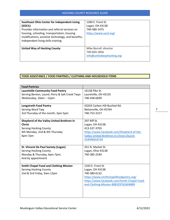| Southeast Ohio Center for Independent Living       | 1369 E. Front St.         |
|----------------------------------------------------|---------------------------|
| (SOCIL)                                            | Logan, OH 43138           |
| Provides information and referral services on      | 740-380-1475              |
| housing, schooling, transportation, housing        | https://www.socil.org/    |
| modifications, assistive technology, and benefits; |                           |
| Independent living skills training                 |                           |
|                                                    |                           |
| <b>United Way of Hocking County</b>                | Mike Barrell: director    |
|                                                    | 740-603-1856              |
|                                                    | info@unitedwayhocking.org |
|                                                    |                           |

#### **FOOD ASSISTANCE / FOOD PANTRIES / CLOTHING AND HOUSEHOLD ITEMS**

| <b>Food Pantries</b>                            |                                             |
|-------------------------------------------------|---------------------------------------------|
| <b>Laurelville Community Food Pantry</b>        | 16138 Pike St.                              |
| Serving Benton, Laurel, Perry & Salt Creek Twps | Laurelville, OH 43135                       |
| Wednesday, 10am - 12pm                          | 740-438-6699                                |
|                                                 |                                             |
| <b>Longstreth Food Pantry</b>                   | 43243 Carbon Hill-Buchtel Rd.               |
| Serving Ward Twp                                | Nelsonville, OH 45764                       |
| 3rd Thursday of the month, 2pm-5pm              | 740-753-3157                                |
|                                                 |                                             |
| Shepherd of the Valley United Brethren in       | 297 Riff St.                                |
| <b>Christ</b>                                   | Logan, OH 43138                             |
| <b>Serving Hocking County</b>                   | 413-537-3703                                |
| 4th Monday, 2nd & 4th Thursday                  | https://www.facebook.com/Shepherd-of-the-   |
| 6pm-7pm                                         | Valley-United-Brethren-in-Christ-Church-    |
|                                                 | 254946654734                                |
|                                                 |                                             |
| <b>St. Vincent De Paul Society (Logan)</b>      | 351 N. Market St.                           |
| <b>Serving Hocking County</b>                   | Logan, Ohio 43138                           |
| Monday & Thursday, 6pm-7pm;                     | 740-385-2549                                |
| And by appointment                              |                                             |
|                                                 |                                             |
| <b>Smith Chapel Food and Clothing Mission</b>   | 1333 E. Front St.                           |
| <b>Serving Hocking County</b>                   | Logan, OH 43138                             |
| 2nd & 3rd Friday, 9am-12pm                      | 740-380-6132                                |
|                                                 | https://www.smithchapelfoodpantry.org/      |
|                                                 | https://www.facebook.com/Smith-Chapel-Food- |
|                                                 | and-Clothing-Mission-808329762604889        |
|                                                 |                                             |
|                                                 |                                             |
|                                                 |                                             |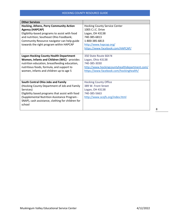| <b>Other Services</b>                                                                                                                                                                                                                                              |                                                                                                                                                                              |
|--------------------------------------------------------------------------------------------------------------------------------------------------------------------------------------------------------------------------------------------------------------------|------------------------------------------------------------------------------------------------------------------------------------------------------------------------------|
| Hocking, Athens, Perry Community Action<br><b>Agency (HAPCAP)</b><br>Eligibility-based programs to assist with food<br>and nutrition; Southeast Ohio Foodbank;<br>Community Resource navigator can help guide<br>towards the right program within HAPCAP           | <b>Hocking County Service Center</b><br>1005 C.I.C. Drive<br>Logan, OH 43138<br>740-385-6813<br>1-800-385-6813<br>http://www.hapcap.org/<br>https://www.facebook.com/HAPCAP/ |
| <b>Logan-Hocking County Health Department</b><br>Women, Infants and Children (WIC) - provides<br>nutrition education, breastfeeding education,<br>nutritious foods, formula, and support to<br>women, infants and children up to age 5                             | 350 State Route 664 N<br>Logan, Ohio 43138<br>740-385-3030<br>http://www.hockingcountyhealthdepartment.com/<br>https://www.facebook.com/hockinghealth/                       |
| South Central Ohio Jobs and Family<br>(Hocking County Department of Job and Family<br>Services)<br>Eligibility based programs that assist with food<br>(Supplemental Nutrition Assistance Program -<br>SNAP), cash assistance, clothing for children for<br>school | <b>Hocking County Office</b><br>389 W. Front Street<br>Logan, OH 43138<br>740-385-5663<br>http://www.scojfs.org/index.html                                                   |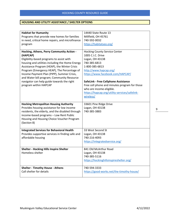# **HOUSING AND UTILITY ASSISTANCE / SHELTER OPTIONS**

| <b>Habitat for Humanity</b><br>Programs that provide new homes for families<br>in need, critical home repairs, and microfinance                                                                                                                                                                                                                                                                                         | 14440 State Route 13<br>Millfield, OH 45761<br>740-592-0032                                                                                                                                                                                                                                                                                                            |
|-------------------------------------------------------------------------------------------------------------------------------------------------------------------------------------------------------------------------------------------------------------------------------------------------------------------------------------------------------------------------------------------------------------------------|------------------------------------------------------------------------------------------------------------------------------------------------------------------------------------------------------------------------------------------------------------------------------------------------------------------------------------------------------------------------|
| program                                                                                                                                                                                                                                                                                                                                                                                                                 | https://habitatseo.org/                                                                                                                                                                                                                                                                                                                                                |
| Hocking, Athens, Perry Community Action -<br>(HAPCAP)<br>Eligibility-based programs to assist with<br>housing and utilities including the Home Energy<br>Assistance Program (HEAP), the Winter Crisis<br>Program (Emergency HEAP), The Percentage of<br>Income Payment Plan (PIPP), Summer Crisis,<br>and Water bill program; Community Resource<br>navigator can help guide towards the right<br>program within HAPCAP | <b>Hocking County Service Center</b><br>1005 C.I.C. Drive<br>Logan, OH 43138<br>740-385-6813<br>1-800-385-6813<br>http://www.hapcap.org/<br>https://www.facebook.com/HAPCAP/<br><b>SafeLink - Free Cellphone Assistance</b><br>Free cell phone and minutes program for those<br>who are income-eligible.<br>https://hapcap.org/utility-services/safelink-<br>wireless/ |
| <b>Hocking Metropolitan Housing Authority</b><br>Provides housing assistance for low income<br>residents, the elderly, and the disabled through<br>income-based programs - Low Rent Public<br>Housing and Housing Choice Voucher Program<br>(Section 8)                                                                                                                                                                 | 33601 Pine Ridge Drive<br>Logan, OH 43138<br>740-385-3883                                                                                                                                                                                                                                                                                                              |
| <b>Integrated Services for Behavioral Health</b><br>Provides supportive services in finding safe and<br>affordable housing                                                                                                                                                                                                                                                                                              | 33 West Second St<br>Logan, OH 43138<br>740-216-4093<br>https://integratedservice.org/                                                                                                                                                                                                                                                                                 |
| <b>Shelter - Hocking Hills Inspire Shelter</b><br>Homeless shelter                                                                                                                                                                                                                                                                                                                                                      | 841 Old McArthur Road<br>Logan, OH 43138<br>740-385-5116<br>https://hockinghillsinspireshelter.org/                                                                                                                                                                                                                                                                    |
| <b>Shelter - Timothy House - Athens</b><br>Call shelter for details                                                                                                                                                                                                                                                                                                                                                     | 740-594-3333<br>https://good-works.net/the-timothy-house/                                                                                                                                                                                                                                                                                                              |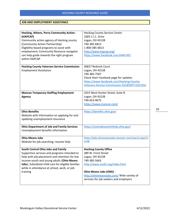#### **JOB AND EMPLOYMENT ASSISTANCE**

| Hocking, Athens, Perry Community Action -          | <b>Hocking County Service Center</b>                  |
|----------------------------------------------------|-------------------------------------------------------|
| (HAPCAP)                                           | 1005 C.I.C. Drive                                     |
| Community action agency of Hocking county          | Logan, OH 43138                                       |
| (Community Action Partnership)                     | 740-385-6813                                          |
| Eligibility-based programs to assist with          | 1-800-385-6813                                        |
| employment; Community Resource navigator           | http://www.hapcap.org/                                |
| can help guide towards the right program           | https://www.facebook.com/HAPCAP/                      |
| within HAPCAP                                      |                                                       |
|                                                    |                                                       |
| <b>Hocking County Veterans Service Commission</b>  | 30657 Redrock Court                                   |
| <b>Employment Assistance</b>                       | Logan, OH 43138                                       |
|                                                    | 740-385-7507                                          |
|                                                    | Check their Facebook page for updates                 |
|                                                    | https://www.facebook.com/Hocking-County-              |
|                                                    | Veterans-Service-Commission-421859971162105/          |
|                                                    |                                                       |
| <b>Mancan Temporary Staffing Employment</b>        | 1015 West Hunter Street, Suite B                      |
| <b>Agency</b>                                      | Logan, OH 43138                                       |
|                                                    | 740-653-9675                                          |
|                                                    | https://www.mancan.com/                               |
|                                                    |                                                       |
| <b>Ohio Benefits</b>                               | https://benefits.ohio.gov/                            |
| Website with information on applying for and       |                                                       |
| updating unemployment insurance                    |                                                       |
|                                                    |                                                       |
| <b>Ohio Department of Job and Family Services</b>  | https://unemploymenthelp.ohio.gov/                    |
| Unemployment benefits information                  |                                                       |
|                                                    |                                                       |
| <b>Ohio Means Jobs</b>                             | https://jobs.ohiomeansjobs.monster.com/search.aspx?si |
| Website for job searching, resume help             | $d = 68$                                              |
|                                                    |                                                       |
| South Central Ohio Jobs and Family                 | <b>Hocking County Office</b>                          |
| Supportive services and programs intended to       | 389 W. Front Street                                   |
| help with job placement and retention for low      | Logan, OH 43138                                       |
| income youth and young adults (Ohio Means          | 740-385-5663                                          |
| Jobs); Subsidized child care for eligible families | http://www.scojfs.org/index.html                      |
| while in attendance at school, work, or job        |                                                       |
| training                                           | Ohio Means Jobs (OMJ) -                               |
|                                                    | http://ohiomeansjobs.com/ Wide variety of             |
|                                                    | services for job seekers and employers                |
|                                                    |                                                       |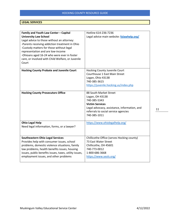# **LEGAL SERVICES**

| Family and Youth Law Center - Capital                  | Hotline 614-236-7236                         |
|--------------------------------------------------------|----------------------------------------------|
| <b>University Law School</b>                           | Legal advice main website: fylawhelp.org/    |
| Legal advice to those without an attorney:             |                                              |
| -Parents receiving addiction treatment in Ohio         |                                              |
| -Custody matters for those without legal               |                                              |
| representation and are low-income                      |                                              |
| -Ohioans aged 16-24 who were ever in foster            |                                              |
| care, or involved with Child Welfare, or Juvenile      |                                              |
| Court                                                  |                                              |
|                                                        |                                              |
| <b>Hocking County Probate and Juvenile Court</b>       | Hocking County Juvenile Court                |
|                                                        | Courthouse 1 East Main Street                |
|                                                        | Logan, Ohio 43138                            |
|                                                        | 740-385-3615                                 |
|                                                        | https://juvenile.hocking.us/index.php        |
|                                                        |                                              |
| <b>Hocking County Prosecutors Office</b>               | 88 South Market Street                       |
|                                                        | Logan, OH 43138                              |
|                                                        | 740-385-5343                                 |
|                                                        | <b>Victim Services</b>                       |
|                                                        | Legal advocacy, assistance, information, and |
|                                                        | referrals to social service agencies         |
|                                                        | 740-385-1011                                 |
|                                                        |                                              |
| <b>Ohio Legal Help</b>                                 | https://www.ohiolegalhelp.org/               |
| Need legal information, forms, or a lawyer?            |                                              |
|                                                        |                                              |
| <b>Southeastern Ohio Legal Services</b>                | Chillicothe Office (serves Hocking county)   |
| Provides help with consumer issues, school             | 73 East Water Street                         |
| problems, domestic violence situations, family         | Chillicothe, OH 45601                        |
| law problems, health benefits issues, housing          | 740-773-0012                                 |
| issues, public benefits issues, taxes, utility issues, | 1-800-686-3668                               |
| employment issues, and other problems                  | https://www.seols.org/                       |
|                                                        |                                              |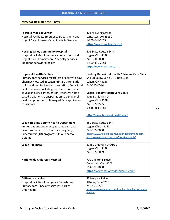#### **MEDICAL HEALTH RESOURCES**

| <b>Fairfield Medical Center</b>                                                                        | 401 N. Ewing Street                                      |
|--------------------------------------------------------------------------------------------------------|----------------------------------------------------------|
| Hospital Facilities, Emergency Department and                                                          | Lancaster, OH 43130                                      |
| <b>Urgent Care, Primary Care, Specialty Services</b>                                                   | 1-800-548-2627                                           |
|                                                                                                        | https://www.fmchealth.org/                               |
| <b>Hocking Valley Community Hospital</b>                                                               | 601 State Route 664 N.                                   |
| Hospital facilities, Emergency department and                                                          | Logan, OH 43138                                          |
| Urgent Care, Primary care, Specialty services,                                                         | 740-380-8000                                             |
| Inpatient behavioral health                                                                            | 1-800-479-2351                                           |
|                                                                                                        | https://www.hvch.org/                                    |
| <b>Hopewell Health Centers</b>                                                                         | Hocking Behavioral Health / Primary Care Clinic          |
| Primary care services regardless of ability to pay;                                                    | 541 SR 664N, Suite C PO Box 1145                         |
| pharmacy located in Logan Primary Care; Early                                                          | Logan, OH 43138                                          |
| childhood mental health consultation; Behavioral                                                       | 740-385-6594                                             |
| health services, including psychiatric, outpatient<br>counseling, crisis intervention, intensive home- | <b>Logan Primary Health Care Clinic</b>                  |
| based treatment, transportation to behavioral                                                          | 30381 Chieftain Dr.                                      |
| health appointments; Managed Care application                                                          | Logan, OH 43138                                          |
| counselors                                                                                             | 740-385-2555                                             |
|                                                                                                        | 1-888-281-7468                                           |
|                                                                                                        |                                                          |
|                                                                                                        | http://www.hopewellhealth.org/                           |
| <b>Logan-Hocking County Health Department</b>                                                          | 350 State Route 664 N                                    |
| Immunizations, pregnancy testing, car seats,                                                           | Logan, Ohio 43138                                        |
| newborn home visits, head lice program,                                                                | 740-385-3030                                             |
| Tuberculosis (TB) programs, Ohio Tobacco                                                               | http://www.hockingcountyhealthdepartment.com/            |
| Quitline                                                                                               | https://www.facebook.com/hockinghealth/                  |
| <b>Logan Pediatrics</b>                                                                                | 31480 Chieftain Dr Apt D                                 |
|                                                                                                        | Logan, OH 43138                                          |
|                                                                                                        | 740-385-3069                                             |
| Nationwide Children's Hospital                                                                         | 700 Childrens Drive                                      |
|                                                                                                        | Columbus, OH 43205                                       |
|                                                                                                        | 614-722-2000                                             |
|                                                                                                        | https://www.nationwidechildrens.org/                     |
|                                                                                                        |                                                          |
| <b>O'Bleness Hospital</b>                                                                              | 55 Hospital Drive                                        |
| Hospital facilities, Emergency Department,<br>Primary care, Specialty services; part of                | Athens, OH 45701<br>740-593-5551                         |
| OhioHealth                                                                                             | https://www.ohiohealth.com/locations/hospitals/obleness- |
|                                                                                                        | hospital                                                 |
|                                                                                                        |                                                          |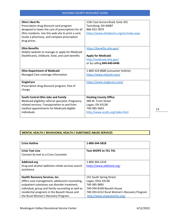| <b>Ohio's Best Rx</b>                               | 2181 East Aurora Road, Suite 201         |
|-----------------------------------------------------|------------------------------------------|
| Prescription drug discount card program             | Twinsburg, OH 44087                      |
| designed to lower the cost of prescriptions for all | 866-923-7879                             |
| Ohio residents. Use this web site to print a card,  | https://www.ohiobestrx.org/en/index.aspx |
| locate a pharmacy, and compare prescription         |                                          |
| drug prices.                                        |                                          |
|                                                     |                                          |
| <b>Ohio Benefits</b>                                | https://benefits.ohio.gov/               |
| Helpful website to manage or apply for Medicaid     |                                          |
| (healthcare), childcare, food, and cash benefits    | <b>Apply for Medicaid:</b>               |
|                                                     | http://medicaid.ohio.gov/                |
|                                                     | or by calling 844-640-6446               |
|                                                     |                                          |
| <b>Ohio Department of Medicaid</b>                  | 1-800-324-8680 (consumer hotline)        |
| Managed Care coverage information                   | https://www.ohiomh.com/                  |
|                                                     |                                          |
| <b>SingleCare</b>                                   | https://www.singlecare.com/              |
| Prescription drug discount program, free of         |                                          |
| charge.                                             |                                          |
|                                                     |                                          |
| South Central Ohio Jobs and Family                  | <b>Hocking County Office</b>             |
| Medicaid eligibility referral specialist; Pregnancy | 389 W. Front Street                      |
|                                                     |                                          |
| related services; Transportation to and from        | Logan, OH 43138                          |
| medical appointments for Medicaid eligible          | 740-385-5663                             |
| individuals                                         | http://www.scojfs.org/index.html         |

# **MENTAL HEALTH / BEHAVIORAL HEALTH / SUBSTANCE ABUSE SERVICES**

| <b>Text 4HOPE to 741 741</b>                                                                                                                                            |
|-------------------------------------------------------------------------------------------------------------------------------------------------------------------------|
|                                                                                                                                                                         |
| 1-800-304-2219<br>https://www.addicted.org/                                                                                                                             |
| 141 South Spring Street<br>Logan, Ohio 43138<br>740-385-9895<br>740-594-8108 Bassett House<br>740-593-6152 Rural Women's Recovery Program<br>http://www.shawneemhc.org/ |
|                                                                                                                                                                         |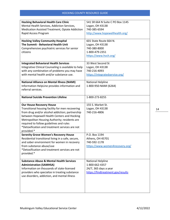| <b>Hocking Behavioral Health Care Clinic</b><br>Mental Health Services, Addiction Services,<br>Medication Assisted Treatment, Opiate Addiction<br>Rapid Access Program                                                                                                                                                                            | 541 SR 664 N Suite C PO Box 1145<br>Logan, OH 43138<br>740-385-6594<br>http://www.hopewellhealth.org/ |
|---------------------------------------------------------------------------------------------------------------------------------------------------------------------------------------------------------------------------------------------------------------------------------------------------------------------------------------------------|-------------------------------------------------------------------------------------------------------|
| <b>Hocking Valley Community Hospital</b><br>The Summit - Behavioral Health Unit<br>Comprehensive psychiatric services for senior<br>citizens                                                                                                                                                                                                      | 601 State Route 664 N.<br>Logan, OH 43138<br>740-380-8000<br>1-800-479-2351<br>https://www.hvch.org/  |
| <b>Integrated Behavioral Health Services</b><br>Integrative Clinical Counseling is available to help<br>with any combination of problems you may have<br>with mental health and/or substance use.                                                                                                                                                 | 33 West Second St<br>Logan, OH 43138<br>740-216-4093<br>https://integratedservice.org/                |
| <b>National Alliance on Mental Illness (NAMI)</b><br>Information HelpLine provides information and<br>referral services.                                                                                                                                                                                                                          | National Helpline<br>1-800-950-NAMI (6264)                                                            |
| <b>National Suicide Prevention Lifeline</b>                                                                                                                                                                                                                                                                                                       | 1-800-273-8255                                                                                        |
| <b>Our House Recovery House</b><br>Transitional housing facility for men recovering<br>from drug and/or alcohol addiction; partnership<br>between Hopewell Health Centers and Hocking<br>Metropolitan Housing Authority; residents are<br>required to follow guidelines and rules<br>*Detoxification and treatment services are not<br>provided.* | 155 S. Market St.<br>Logan, OH 43138<br>740-216-4806                                                  |
| <b>Serenity Grove Women's Recovery House</b><br>Residential transitional living in a safe, secure,<br>and sober environment for women in recovery<br>from substance abuse/use<br>*Detoxification and treatment services are not<br>provided.*                                                                                                     | P.O. Box 1194<br>Athens, OH 45701<br>740-592-1178<br>https://www.women4recovery.org/                  |
| <b>Substance Abuse &amp; Mental Health Services</b><br><b>Administration (SAMHSA)</b><br>Information on thousands of state-licensed<br>providers who specialize in treating substance<br>use disorders, addiction, and mental illness                                                                                                             | National Helpline<br>1-800-662-4357<br>24/7, 365 days a year<br>https://findtreatment.gov/results     |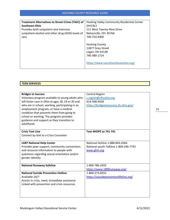| <b>Treatment Alternatives to Street Crime (TASC) of</b> | Hocking Valley Community Residential Center |
|---------------------------------------------------------|---------------------------------------------|
| <b>Southeast Ohio</b>                                   | (HVCRC)                                     |
| Provides both outpatient and intensive                  | 111 West Twenty-Nine Drive                  |
| outpatient alcohol and other drug (AOD) levels of       | Nelsonville, OH 45764                       |
| care                                                    | 740-753-4400                                |
|                                                         |                                             |
|                                                         | <b>Hocking County</b>                       |
|                                                         | 12877 Grey Street                           |
|                                                         | Logan, OH 43138                             |
|                                                         | 740-380-1714                                |
|                                                         | https://www.tascofsoutheastohio.org/        |

| <b>TEEN SERVICES</b> |  |  |
|----------------------|--|--|
|                      |  |  |

| <b>Bridges to Success</b>                         | <b>Central Region</b>                  |
|---------------------------------------------------|----------------------------------------|
| Voluntary program available to young adults who   | c.region@cfhcohio.org                  |
| left foster care in Ohio at ages 18, 19 or 20 and | 614-568-9428                           |
| who are in school, working, participating in an   | https://bridgestosuccess.jfs.ohio.gov/ |
| employment program, or have a medical             |                                        |
| condition that prevents them from going to        |                                        |
| school or working. The program provides           |                                        |
| guidance and support as they transition to        |                                        |
| adulthood.                                        |                                        |
|                                                   |                                        |
| <b>Crisis Text Line</b>                           | <b>Text 4HOPE to 741 741</b>           |
| Connect by text to a Crisis Counselor             |                                        |
|                                                   |                                        |
| <b>LGBT National Help Center</b>                  | National Hotline 1-888-843-4564        |
| Provides peer-support, community connections      | National youth Talkline 1-800-246-7743 |
| and resource information to people with           | www.glnh.org                           |
| questions regarding sexual orientation and/or     |                                        |
| gender identity.                                  |                                        |
|                                                   |                                        |
| <b>National Runaway Safeline</b>                  | 1-800-786-2929                         |
|                                                   | https://www.1800runaway.org/           |
| <b>National Suicide Prevention Hotline</b>        | 1-800-273-8255                         |
| Available 24/7                                    | https://suicidepreventionlifeline.org/ |
| Assists in crisis, need, immediate assistance     |                                        |
| Linked with prevention and crisis resources       |                                        |
|                                                   |                                        |
|                                                   |                                        |
|                                                   |                                        |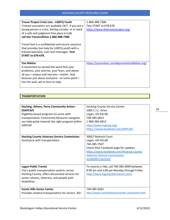| <b>Trevor Project Crisis Line - LGBTQ Youth</b>                                                                                                                                | 1-866-488-7386                                   |
|--------------------------------------------------------------------------------------------------------------------------------------------------------------------------------|--------------------------------------------------|
| Trained counselors are available 24/7. If you are a                                                                                                                            | Text START to 678-678                            |
| young person in crisis, feeling suicidal, or in need                                                                                                                           | https://www.thetrevorproject.org/                |
| of a safe and judgment-free place to talk                                                                                                                                      |                                                  |
| call the TrevorLifeline 1-866-488-7386                                                                                                                                         |                                                  |
| TrevorText is a confidential and secure resource<br>that provides live help for LGBTQ youth with a<br>trained specialist, over text messages. Text<br><b>START to 678-678.</b> |                                                  |
| <b>You Matter</b>                                                                                                                                                              | https://youmatter.suicidepreventionlifeline.org/ |
| A movement to spread the word that your                                                                                                                                        |                                                  |
| problems, your worries, your fears, and above                                                                                                                                  |                                                  |
| all you-unique and real you-matter. And                                                                                                                                        |                                                  |
| because just about everyone—at some point—                                                                                                                                     |                                                  |
| hits the wall, we're here to help.                                                                                                                                             |                                                  |
|                                                                                                                                                                                |                                                  |

#### **TRANSPORTATION**

| Hocking, Athens, Perry Community Action -<br>(HAPCAP)<br>Eligibility-based programs to assist with<br>transportation; Community Resource navigator<br>can help guide towards the right program within<br><b>HAPCAP</b> | <b>Hocking County Service Center</b><br>1005 C.I.C. Drive<br>Logan, OH 43138<br>740-385-6813<br>1-800-385-6813                                                                                  |
|------------------------------------------------------------------------------------------------------------------------------------------------------------------------------------------------------------------------|-------------------------------------------------------------------------------------------------------------------------------------------------------------------------------------------------|
|                                                                                                                                                                                                                        | http://www.hapcap.org/<br>https://www.facebook.com/HAPCAP/                                                                                                                                      |
| <b>Hocking County Veterans Service Commission</b><br>Assistance with transportation                                                                                                                                    | 30657 Redrock Court<br>Logan, OH 43138<br>740-385-7507<br>Check their Facebook page for updates<br>https://www.facebook.com/Hocking-County-<br>Veterans-Service-Commission-<br>421859971162105/ |
| <b>Logan Public Transit</b><br>City's public transportation system; serves<br>Hocking County; offers discounted services for<br>senior citizens, Veterans, and people with<br>disabilities                             | To reserve a ride, call 740-385-6999 between<br>8:00 am and 5:00 pm Monday through Friday<br>http://www.loganpublictransit.com/                                                                 |
| <b>Scenic Hills Senior Center</b><br>Provides medical transportation for seniors, 60+                                                                                                                                  | 740-385-6581<br>http://www.scenichillsseniorcenter.com/home.html                                                                                                                                |